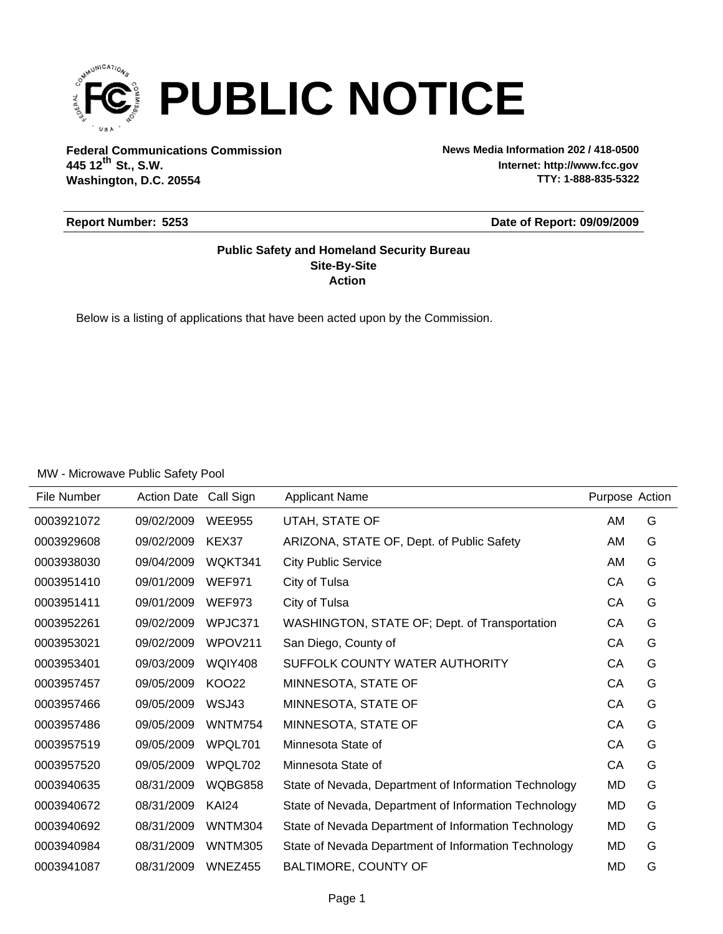

**Federal Communications Commission News Media Information 202 / 418-0500 Washington, D.C. 20554 th 445 12 St., S.W.**

**Internet: http://www.fcc.gov TTY: 1-888-835-5322**

### **Report Number: 5253**

**Date of Report: 09/09/2009**

### **Action Site-By-Site Public Safety and Homeland Security Bureau**

Below is a listing of applications that have been acted upon by the Commission.

| File Number | <b>Action Date</b> | Call Sign      | <b>Applicant Name</b>                                 | Purpose Action |   |
|-------------|--------------------|----------------|-------------------------------------------------------|----------------|---|
| 0003921072  | 09/02/2009         | <b>WEE955</b>  | UTAH, STATE OF                                        | AM             | G |
| 0003929608  | 09/02/2009         | KEX37          | ARIZONA, STATE OF, Dept. of Public Safety             | AM             | G |
| 0003938030  | 09/04/2009         | WQKT341        | <b>City Public Service</b>                            | AM             | G |
| 0003951410  | 09/01/2009         | <b>WEF971</b>  | City of Tulsa                                         | CA             | G |
| 0003951411  | 09/01/2009         | <b>WEF973</b>  | City of Tulsa                                         | CA             | G |
| 0003952261  | 09/02/2009         | WPJC371        | WASHINGTON, STATE OF; Dept. of Transportation         | CA             | G |
| 0003953021  | 09/02/2009         | WPOV211        | San Diego, County of                                  | CA             | G |
| 0003953401  | 09/03/2009         | <b>WQIY408</b> | SUFFOLK COUNTY WATER AUTHORITY                        | CA             | G |
| 0003957457  | 09/05/2009         | <b>KOO22</b>   | MINNESOTA, STATE OF                                   | CA             | G |
| 0003957466  | 09/05/2009         | WSJ43          | MINNESOTA, STATE OF                                   | CA             | G |
| 0003957486  | 09/05/2009         | <b>WNTM754</b> | MINNESOTA, STATE OF                                   | CA             | G |
| 0003957519  | 09/05/2009         | WPQL701        | Minnesota State of                                    | CA             | G |
| 0003957520  | 09/05/2009         | WPQL702        | Minnesota State of                                    | CA             | G |
| 0003940635  | 08/31/2009         | WQBG858        | State of Nevada, Department of Information Technology | MD             | G |
| 0003940672  | 08/31/2009         | KAI24          | State of Nevada, Department of Information Technology | MD             | G |
| 0003940692  | 08/31/2009         | WNTM304        | State of Nevada Department of Information Technology  | MD             | G |
| 0003940984  | 08/31/2009         | <b>WNTM305</b> | State of Nevada Department of Information Technology  | MD             | G |
| 0003941087  | 08/31/2009         | WNEZ455        | BALTIMORE, COUNTY OF                                  | MD             | G |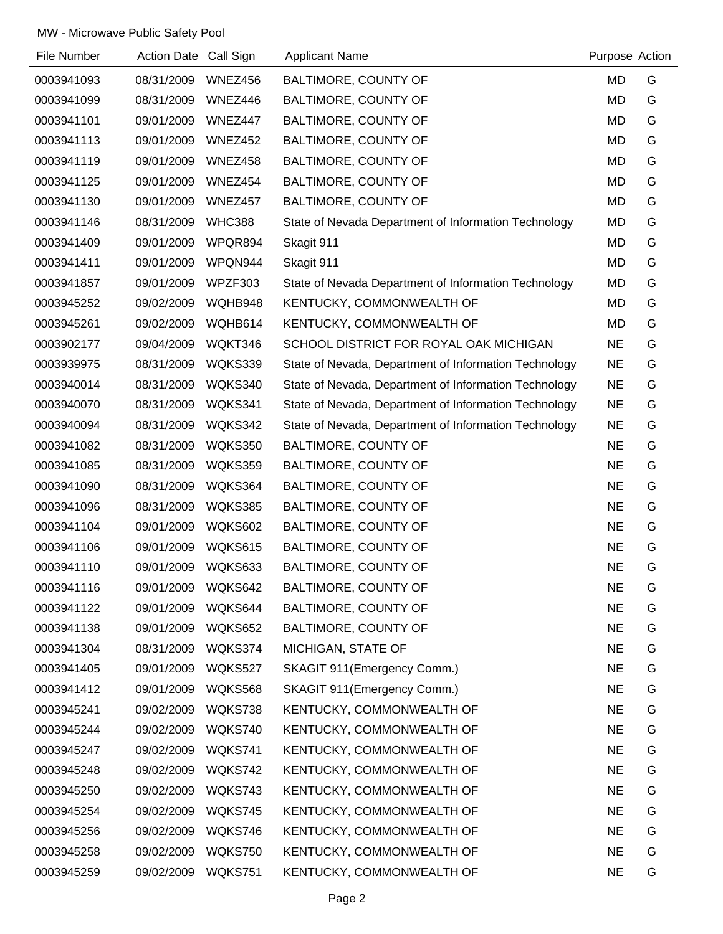| File Number | Action Date Call Sign |               | <b>Applicant Name</b>                                 | Purpose Action |   |
|-------------|-----------------------|---------------|-------------------------------------------------------|----------------|---|
| 0003941093  | 08/31/2009            | WNEZ456       | BALTIMORE, COUNTY OF                                  | <b>MD</b>      | G |
| 0003941099  | 08/31/2009            | WNEZ446       | BALTIMORE, COUNTY OF                                  | <b>MD</b>      | G |
| 0003941101  | 09/01/2009            | WNEZ447       | BALTIMORE, COUNTY OF                                  | <b>MD</b>      | G |
| 0003941113  | 09/01/2009            | WNEZ452       | BALTIMORE, COUNTY OF                                  | <b>MD</b>      | G |
| 0003941119  | 09/01/2009            | WNEZ458       | BALTIMORE, COUNTY OF                                  | <b>MD</b>      | G |
| 0003941125  | 09/01/2009            | WNEZ454       | BALTIMORE, COUNTY OF                                  | MD             | G |
| 0003941130  | 09/01/2009            | WNEZ457       | <b>BALTIMORE, COUNTY OF</b>                           | <b>MD</b>      | G |
| 0003941146  | 08/31/2009            | <b>WHC388</b> | State of Nevada Department of Information Technology  | <b>MD</b>      | G |
| 0003941409  | 09/01/2009            | WPQR894       | Skagit 911                                            | <b>MD</b>      | G |
| 0003941411  | 09/01/2009            | WPQN944       | Skagit 911                                            | MD             | G |
| 0003941857  | 09/01/2009            | WPZF303       | State of Nevada Department of Information Technology  | <b>MD</b>      | G |
| 0003945252  | 09/02/2009            | WQHB948       | KENTUCKY, COMMONWEALTH OF                             | <b>MD</b>      | G |
| 0003945261  | 09/02/2009            | WQHB614       | KENTUCKY, COMMONWEALTH OF                             | <b>MD</b>      | G |
| 0003902177  | 09/04/2009            | WQKT346       | SCHOOL DISTRICT FOR ROYAL OAK MICHIGAN                | <b>NE</b>      | G |
| 0003939975  | 08/31/2009            | WQKS339       | State of Nevada, Department of Information Technology | <b>NE</b>      | G |
| 0003940014  | 08/31/2009            | WQKS340       | State of Nevada, Department of Information Technology | <b>NE</b>      | G |
| 0003940070  | 08/31/2009            | WQKS341       | State of Nevada, Department of Information Technology | <b>NE</b>      | G |
| 0003940094  | 08/31/2009            | WQKS342       | State of Nevada, Department of Information Technology | <b>NE</b>      | G |
| 0003941082  | 08/31/2009            | WQKS350       | BALTIMORE, COUNTY OF                                  | <b>NE</b>      | G |
| 0003941085  | 08/31/2009            | WQKS359       | BALTIMORE, COUNTY OF                                  | <b>NE</b>      | G |
| 0003941090  | 08/31/2009            | WQKS364       | BALTIMORE, COUNTY OF                                  | <b>NE</b>      | G |
| 0003941096  | 08/31/2009            | WQKS385       | BALTIMORE, COUNTY OF                                  | <b>NE</b>      | G |
| 0003941104  | 09/01/2009            | WQKS602       | BALTIMORE, COUNTY OF                                  | <b>NE</b>      | G |
| 0003941106  | 09/01/2009            | WQKS615       | BALTIMORE, COUNTY OF                                  | <b>NE</b>      | G |
| 0003941110  | 09/01/2009            | WQKS633       | BALTIMORE, COUNTY OF                                  | <b>NE</b>      | G |
| 0003941116  | 09/01/2009            | WQKS642       | BALTIMORE, COUNTY OF                                  | <b>NE</b>      | G |
| 0003941122  | 09/01/2009            | WQKS644       | BALTIMORE, COUNTY OF                                  | <b>NE</b>      | G |
| 0003941138  | 09/01/2009            | WQKS652       | BALTIMORE, COUNTY OF                                  | <b>NE</b>      | G |
| 0003941304  | 08/31/2009            | WQKS374       | MICHIGAN, STATE OF                                    | <b>NE</b>      | G |
| 0003941405  | 09/01/2009            | WQKS527       | SKAGIT 911(Emergency Comm.)                           | <b>NE</b>      | G |
| 0003941412  | 09/01/2009            | WQKS568       | SKAGIT 911(Emergency Comm.)                           | <b>NE</b>      | G |
| 0003945241  | 09/02/2009            | WQKS738       | KENTUCKY, COMMONWEALTH OF                             | <b>NE</b>      | G |
| 0003945244  | 09/02/2009            | WQKS740       | KENTUCKY, COMMONWEALTH OF                             | <b>NE</b>      | G |
| 0003945247  | 09/02/2009            | WQKS741       | KENTUCKY, COMMONWEALTH OF                             | <b>NE</b>      | G |
| 0003945248  | 09/02/2009            | WQKS742       | KENTUCKY, COMMONWEALTH OF                             | <b>NE</b>      | G |
| 0003945250  | 09/02/2009            | WQKS743       | KENTUCKY, COMMONWEALTH OF                             | <b>NE</b>      | G |
| 0003945254  | 09/02/2009            | WQKS745       | KENTUCKY, COMMONWEALTH OF                             | <b>NE</b>      | G |
| 0003945256  | 09/02/2009            | WQKS746       | KENTUCKY, COMMONWEALTH OF                             | <b>NE</b>      | G |
| 0003945258  | 09/02/2009            | WQKS750       | KENTUCKY, COMMONWEALTH OF                             | <b>NE</b>      | G |
| 0003945259  | 09/02/2009            | WQKS751       | KENTUCKY, COMMONWEALTH OF                             | <b>NE</b>      | G |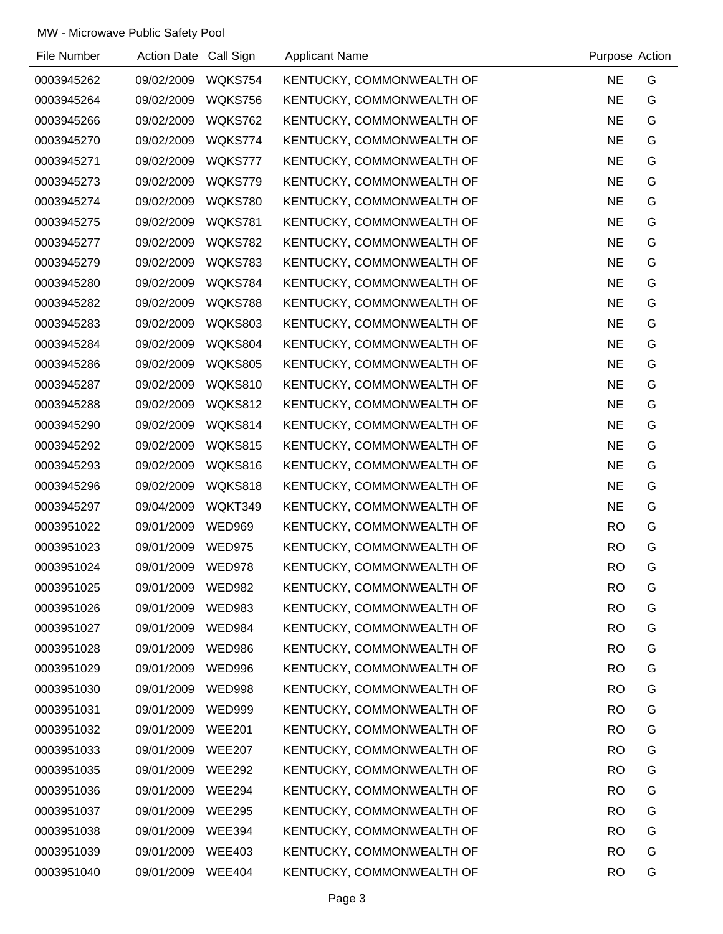| File Number | Action Date Call Sign |                | <b>Applicant Name</b>     | Purpose Action |   |
|-------------|-----------------------|----------------|---------------------------|----------------|---|
| 0003945262  | 09/02/2009            | WQKS754        | KENTUCKY, COMMONWEALTH OF | <b>NE</b>      | G |
| 0003945264  | 09/02/2009            | WQKS756        | KENTUCKY, COMMONWEALTH OF | <b>NE</b>      | G |
| 0003945266  | 09/02/2009            | WQKS762        | KENTUCKY, COMMONWEALTH OF | <b>NE</b>      | G |
| 0003945270  | 09/02/2009            | WQKS774        | KENTUCKY, COMMONWEALTH OF | <b>NE</b>      | G |
| 0003945271  | 09/02/2009            | WQKS777        | KENTUCKY, COMMONWEALTH OF | <b>NE</b>      | G |
| 0003945273  | 09/02/2009            | WQKS779        | KENTUCKY, COMMONWEALTH OF | <b>NE</b>      | G |
| 0003945274  | 09/02/2009            | <b>WQKS780</b> | KENTUCKY, COMMONWEALTH OF | <b>NE</b>      | G |
| 0003945275  | 09/02/2009            | WQKS781        | KENTUCKY, COMMONWEALTH OF | <b>NE</b>      | G |
| 0003945277  | 09/02/2009            | WQKS782        | KENTUCKY, COMMONWEALTH OF | <b>NE</b>      | G |
| 0003945279  | 09/02/2009            | WQKS783        | KENTUCKY, COMMONWEALTH OF | <b>NE</b>      | G |
| 0003945280  | 09/02/2009            | WQKS784        | KENTUCKY, COMMONWEALTH OF | <b>NE</b>      | G |
| 0003945282  | 09/02/2009            | WQKS788        | KENTUCKY, COMMONWEALTH OF | <b>NE</b>      | G |
| 0003945283  | 09/02/2009            | <b>WQKS803</b> | KENTUCKY, COMMONWEALTH OF | <b>NE</b>      | G |
| 0003945284  | 09/02/2009            | WQKS804        | KENTUCKY, COMMONWEALTH OF | <b>NE</b>      | G |
| 0003945286  | 09/02/2009            | <b>WQKS805</b> | KENTUCKY, COMMONWEALTH OF | <b>NE</b>      | G |
| 0003945287  | 09/02/2009            | WQKS810        | KENTUCKY, COMMONWEALTH OF | <b>NE</b>      | G |
| 0003945288  | 09/02/2009            | WQKS812        | KENTUCKY, COMMONWEALTH OF | <b>NE</b>      | G |
| 0003945290  | 09/02/2009            | WQKS814        | KENTUCKY, COMMONWEALTH OF | <b>NE</b>      | G |
| 0003945292  | 09/02/2009            | WQKS815        | KENTUCKY, COMMONWEALTH OF | <b>NE</b>      | G |
| 0003945293  | 09/02/2009            | WQKS816        | KENTUCKY, COMMONWEALTH OF | <b>NE</b>      | G |
| 0003945296  | 09/02/2009            | WQKS818        | KENTUCKY, COMMONWEALTH OF | <b>NE</b>      | G |
| 0003945297  | 09/04/2009            | WQKT349        | KENTUCKY, COMMONWEALTH OF | <b>NE</b>      | G |
| 0003951022  | 09/01/2009            | <b>WED969</b>  | KENTUCKY, COMMONWEALTH OF | <b>RO</b>      | G |
| 0003951023  | 09/01/2009            | <b>WED975</b>  | KENTUCKY, COMMONWEALTH OF | <b>RO</b>      | G |
| 0003951024  | 09/01/2009            | <b>WED978</b>  | KENTUCKY, COMMONWEALTH OF | <b>RO</b>      | G |
| 0003951025  | 09/01/2009            | <b>WED982</b>  | KENTUCKY, COMMONWEALTH OF | <b>RO</b>      | G |
| 0003951026  | 09/01/2009            | <b>WED983</b>  | KENTUCKY, COMMONWEALTH OF | <b>RO</b>      | G |
| 0003951027  | 09/01/2009            | WED984         | KENTUCKY, COMMONWEALTH OF | <b>RO</b>      | G |
| 0003951028  | 09/01/2009            | WED986         | KENTUCKY, COMMONWEALTH OF | <b>RO</b>      | G |
| 0003951029  | 09/01/2009            | <b>WED996</b>  | KENTUCKY, COMMONWEALTH OF | <b>RO</b>      | G |
| 0003951030  | 09/01/2009            | <b>WED998</b>  | KENTUCKY, COMMONWEALTH OF | <b>RO</b>      | G |
| 0003951031  | 09/01/2009            | <b>WED999</b>  | KENTUCKY, COMMONWEALTH OF | <b>RO</b>      | G |
| 0003951032  | 09/01/2009            | <b>WEE201</b>  | KENTUCKY, COMMONWEALTH OF | <b>RO</b>      | G |
| 0003951033  | 09/01/2009            | <b>WEE207</b>  | KENTUCKY, COMMONWEALTH OF | <b>RO</b>      | G |
| 0003951035  | 09/01/2009            | <b>WEE292</b>  | KENTUCKY, COMMONWEALTH OF | <b>RO</b>      | G |
| 0003951036  | 09/01/2009            | <b>WEE294</b>  | KENTUCKY, COMMONWEALTH OF | <b>RO</b>      | G |
| 0003951037  | 09/01/2009            | <b>WEE295</b>  | KENTUCKY, COMMONWEALTH OF | <b>RO</b>      | G |
| 0003951038  | 09/01/2009            | <b>WEE394</b>  | KENTUCKY, COMMONWEALTH OF | <b>RO</b>      | G |
| 0003951039  | 09/01/2009            | <b>WEE403</b>  | KENTUCKY, COMMONWEALTH OF | <b>RO</b>      | G |
| 0003951040  | 09/01/2009            | <b>WEE404</b>  | KENTUCKY, COMMONWEALTH OF | <b>RO</b>      | G |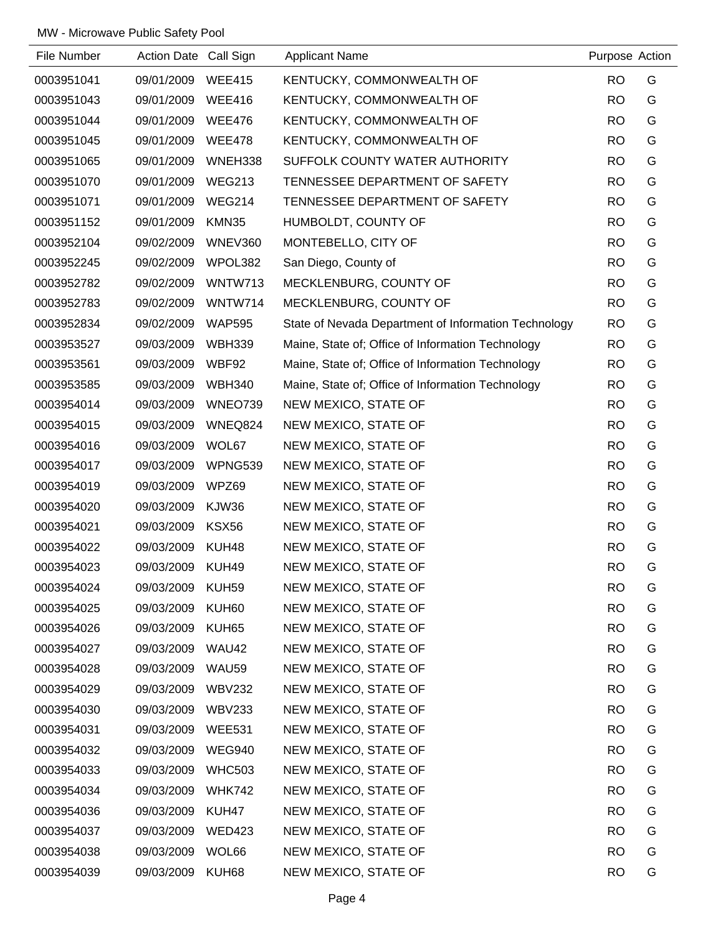| File Number | Action Date Call Sign |               | <b>Applicant Name</b>                                | Purpose Action |   |
|-------------|-----------------------|---------------|------------------------------------------------------|----------------|---|
| 0003951041  | 09/01/2009            | <b>WEE415</b> | KENTUCKY, COMMONWEALTH OF                            | <b>RO</b>      | G |
| 0003951043  | 09/01/2009            | <b>WEE416</b> | KENTUCKY, COMMONWEALTH OF                            | <b>RO</b>      | G |
| 0003951044  | 09/01/2009            | <b>WEE476</b> | KENTUCKY, COMMONWEALTH OF                            | <b>RO</b>      | G |
| 0003951045  | 09/01/2009            | <b>WEE478</b> | KENTUCKY, COMMONWEALTH OF                            | <b>RO</b>      | G |
| 0003951065  | 09/01/2009            | WNEH338       | SUFFOLK COUNTY WATER AUTHORITY                       | <b>RO</b>      | G |
| 0003951070  | 09/01/2009            | <b>WEG213</b> | TENNESSEE DEPARTMENT OF SAFETY                       | <b>RO</b>      | G |
| 0003951071  | 09/01/2009            | <b>WEG214</b> | TENNESSEE DEPARTMENT OF SAFETY                       | <b>RO</b>      | G |
| 0003951152  | 09/01/2009            | KMN35         | HUMBOLDT, COUNTY OF                                  | <b>RO</b>      | G |
| 0003952104  | 09/02/2009            | WNEV360       | MONTEBELLO, CITY OF                                  | <b>RO</b>      | G |
| 0003952245  | 09/02/2009            | WPOL382       | San Diego, County of                                 | <b>RO</b>      | G |
| 0003952782  | 09/02/2009            | WNTW713       | MECKLENBURG, COUNTY OF                               | <b>RO</b>      | G |
| 0003952783  | 09/02/2009            | WNTW714       | MECKLENBURG, COUNTY OF                               | <b>RO</b>      | G |
| 0003952834  | 09/02/2009            | <b>WAP595</b> | State of Nevada Department of Information Technology | <b>RO</b>      | G |
| 0003953527  | 09/03/2009            | <b>WBH339</b> | Maine, State of; Office of Information Technology    | <b>RO</b>      | G |
| 0003953561  | 09/03/2009            | WBF92         | Maine, State of; Office of Information Technology    | <b>RO</b>      | G |
| 0003953585  | 09/03/2009            | <b>WBH340</b> | Maine, State of; Office of Information Technology    | <b>RO</b>      | G |
| 0003954014  | 09/03/2009            | WNEO739       | NEW MEXICO, STATE OF                                 | <b>RO</b>      | G |
| 0003954015  | 09/03/2009            | WNEQ824       | NEW MEXICO, STATE OF                                 | <b>RO</b>      | G |
| 0003954016  | 09/03/2009            | WOL67         | NEW MEXICO, STATE OF                                 | <b>RO</b>      | G |
| 0003954017  | 09/03/2009            | WPNG539       | NEW MEXICO, STATE OF                                 | <b>RO</b>      | G |
| 0003954019  | 09/03/2009            | WPZ69         | NEW MEXICO, STATE OF                                 | <b>RO</b>      | G |
| 0003954020  | 09/03/2009            | KJW36         | NEW MEXICO, STATE OF                                 | <b>RO</b>      | G |
| 0003954021  | 09/03/2009            | <b>KSX56</b>  | NEW MEXICO, STATE OF                                 | <b>RO</b>      | G |
| 0003954022  | 09/03/2009            | KUH48         | NEW MEXICO, STATE OF                                 | <b>RO</b>      | G |
| 0003954023  | 09/03/2009            | KUH49         | NEW MEXICO, STATE OF                                 | <b>RO</b>      | G |
| 0003954024  | 09/03/2009            | KUH59         | NEW MEXICO, STATE OF                                 | <b>RO</b>      | G |
| 0003954025  | 09/03/2009            | KUH60         | NEW MEXICO, STATE OF                                 | <b>RO</b>      | G |
| 0003954026  | 09/03/2009            | KUH65         | NEW MEXICO, STATE OF                                 | <b>RO</b>      | G |
| 0003954027  | 09/03/2009            | WAU42         | NEW MEXICO, STATE OF                                 | <b>RO</b>      | G |
| 0003954028  | 09/03/2009            | WAU59         | NEW MEXICO, STATE OF                                 | <b>RO</b>      | G |
| 0003954029  | 09/03/2009            | <b>WBV232</b> | NEW MEXICO, STATE OF                                 | <b>RO</b>      | G |
| 0003954030  | 09/03/2009            | <b>WBV233</b> | NEW MEXICO, STATE OF                                 | <b>RO</b>      | G |
| 0003954031  | 09/03/2009            | <b>WEE531</b> | NEW MEXICO, STATE OF                                 | <b>RO</b>      | G |
| 0003954032  | 09/03/2009            | <b>WEG940</b> | NEW MEXICO, STATE OF                                 | <b>RO</b>      | G |
| 0003954033  | 09/03/2009            | <b>WHC503</b> | NEW MEXICO, STATE OF                                 | <b>RO</b>      | G |
| 0003954034  | 09/03/2009            | <b>WHK742</b> | NEW MEXICO, STATE OF                                 | <b>RO</b>      | G |
| 0003954036  | 09/03/2009            | KUH47         | NEW MEXICO, STATE OF                                 | <b>RO</b>      | G |
| 0003954037  | 09/03/2009            | WED423        | NEW MEXICO, STATE OF                                 | <b>RO</b>      | G |
| 0003954038  | 09/03/2009            | WOL66         | NEW MEXICO, STATE OF                                 | <b>RO</b>      | G |
| 0003954039  | 09/03/2009            | KUH68         | NEW MEXICO, STATE OF                                 | <b>RO</b>      | G |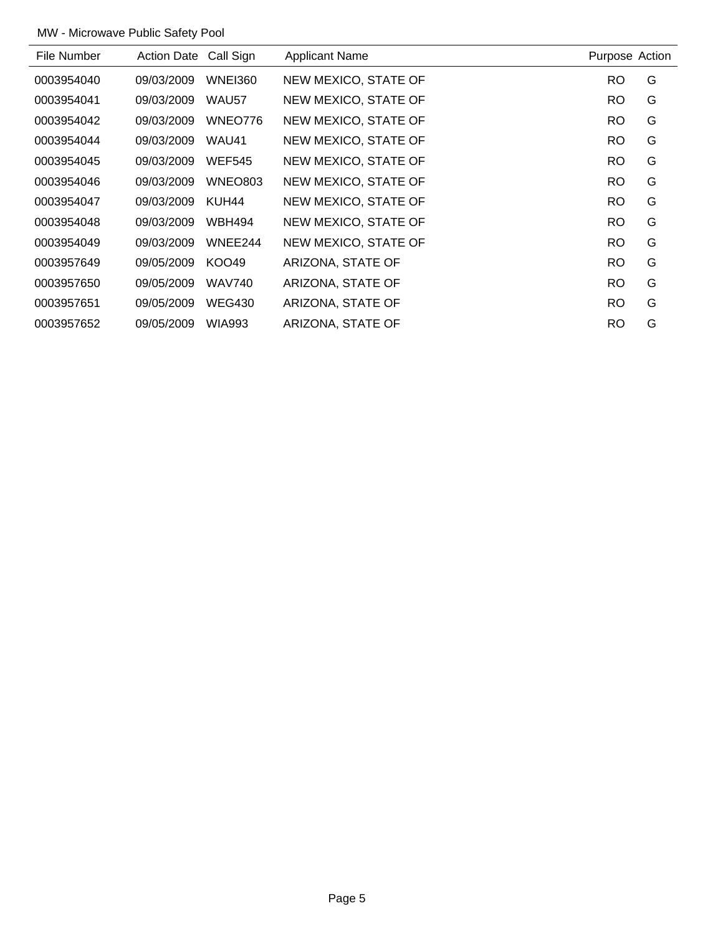| File Number | <b>Action Date</b> | Call Sign      | <b>Applicant Name</b> | Purpose Action |   |
|-------------|--------------------|----------------|-----------------------|----------------|---|
| 0003954040  | 09/03/2009         | <b>WNEI360</b> | NEW MEXICO, STATE OF  | <b>RO</b>      | G |
| 0003954041  | 09/03/2009         | WAU57          | NEW MEXICO, STATE OF  | <b>RO</b>      | G |
| 0003954042  | 09/03/2009         | WNEO776        | NEW MEXICO, STATE OF  | <b>RO</b>      | G |
| 0003954044  | 09/03/2009         | WAU41          | NEW MEXICO, STATE OF  | <b>RO</b>      | G |
| 0003954045  | 09/03/2009         | <b>WEF545</b>  | NEW MEXICO, STATE OF  | <b>RO</b>      | G |
| 0003954046  | 09/03/2009         | WNEO803        | NEW MEXICO, STATE OF  | <b>RO</b>      | G |
| 0003954047  | 09/03/2009         | KUH44          | NEW MEXICO, STATE OF  | RO.            | G |
| 0003954048  | 09/03/2009         | <b>WBH494</b>  | NEW MEXICO, STATE OF  | <b>RO</b>      | G |
| 0003954049  | 09/03/2009         | WNEE244        | NEW MEXICO, STATE OF  | <b>RO</b>      | G |
| 0003957649  | 09/05/2009         | KOO49          | ARIZONA, STATE OF     | <b>RO</b>      | G |
| 0003957650  | 09/05/2009         | <b>WAV740</b>  | ARIZONA, STATE OF     | <b>RO</b>      | G |
| 0003957651  | 09/05/2009         | <b>WEG430</b>  | ARIZONA, STATE OF     | RO.            | G |
| 0003957652  | 09/05/2009         | <b>WIA993</b>  | ARIZONA, STATE OF     | <b>RO</b>      | G |